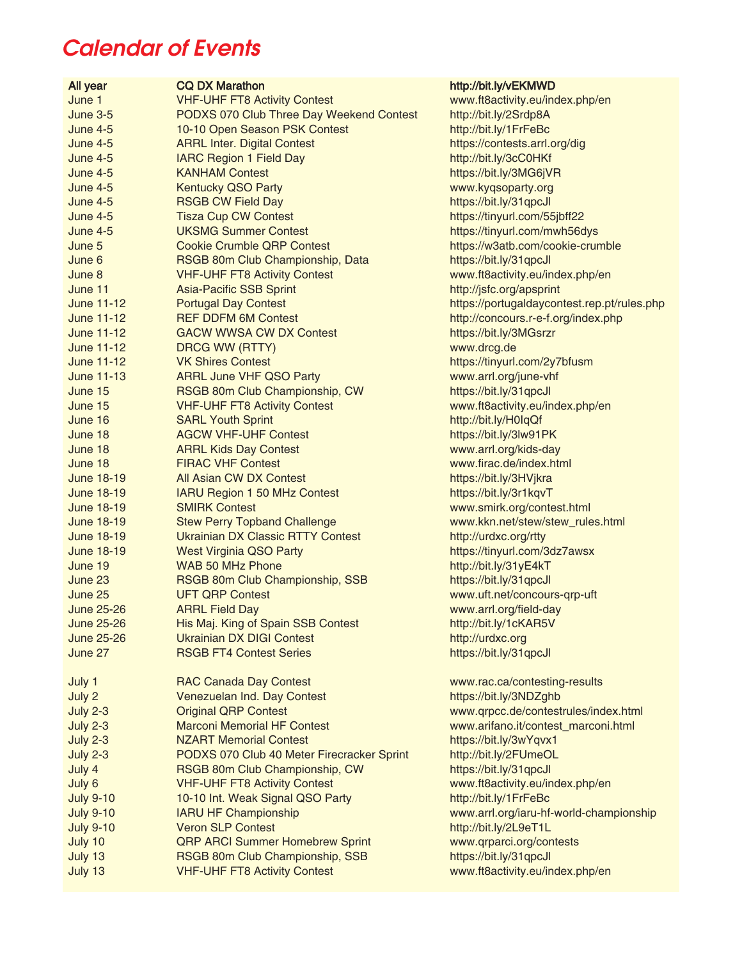## Calendar of Events

## All year CQ DX Marathon **CQ DX Marathon** http://bit.ly/vEKMWD June 1 VHF-UHF FT8 Activity Contest www.ft8activity.eu/index.php/en June 3-5 PODXS 070 Club Three Day Weekend Contest http://bit.ly/2Srdp8A June 4-5 10-10 Open Season PSK Contest http://bit.ly/1FrFeBc June 4-5 ARRL Inter. Digital Contest https://contests.arrl.org/dig June 4-5 IARC Region 1 Field Day http://bit.ly/3cC0HKf June 4-5 KANHAM Contest https://bit.ly/3MG6jVR June 4-5 Kentucky QSO Party www.kyqsoparty.org June 4-5 RSGB CW Field Day https://bit.ly/31qpcJl June 4-5 Tisza Cup CW Contest https://tinyurl.com/55jbff22 June 4-5 UKSMG Summer Contest https://tinyurl.com/mwh56dys June 5 Cookie Crumble QRP Contest https://w3atb.com/cookie-crumble June 6 **RSGB 80m Club Championship, Data** https://bit.ly/31qpcJl June 8 VHF-UHF FT8 Activity Contest www.ft8activity.eu/index.php/en June 11 Asia-Pacific SSB Sprint http://jsfc.org/apsprint June 11-12 Portugal Day Contest https://portugaldaycontest.rep.pt/rules.php June 11-12 REF DDFM 6M Contest http://concours.r-e-f.org/index.php June 11-12 GACW WWSA CW DX Contest https://bit.ly/3MGsrzr June 11-12 DRCG WW (RTTY) www.drcg.de June 11-12 VK Shires Contest https://tinyurl.com/2y7bfusm June 11-13 ARRL June VHF QSO Party www.arrl.org/june-vhf June 15 RSGB 80m Club Championship, CW https://bit.ly/31qpcJl June 15 VHF-UHF FT8 Activity Contest www.ft8activity.eu/index.php/en June 16 SARL Youth Sprint http://bit.ly/H0IqQf June 18 AGCW VHF-UHF Contest https://bit.ly/3lw91PK June 18 ARRL Kids Day Contest www.arrl.org/kids-day June 18 FIRAC VHF Contest www.firac.de/index.html June 18-19 All Asian CW DX Contest https://bit.ly/3HVjkra June 18-19 IARU Region 1 50 MHz Contest https://bit.ly/3r1kqvT June 18-19 SMIRK Contest www.smirk.org/contest.html June 18-19 Stew Perry Topband Challenge www.kkn.net/stew/stew\_rules.html June 18-19 Ukrainian DX Classic RTTY Contest http://urdxc.org/rtty June 18-19 **West Virginia QSO Party https://tinyurl.com/3dz7awsx** June 19 WAB 50 MHz Phone http://bit.ly/31yE4kT June 23 **RSGB 80m Club Championship, SSB** https://bit.ly/31qpcJl June 25 UFT QRP Contest www.uft.net/concours-qrp-uft June 25-26 ARRL Field Day www.arrl.org/field-day June 25-26 His Maj. King of Spain SSB Contest http://bit.ly/1cKAR5V June 25-26 Ukrainian DX DIGI Contest http://urdxc.org June 27 RSGB FT4 Contest Series https://bit.ly/31qpcJl July 1 RAC Canada Day Contest www.rac.ca/contesting-results

| July 2           | Venezuelan Ind. Day Contest                |  |
|------------------|--------------------------------------------|--|
| <b>July 2-3</b>  | <b>Original QRP Contest</b>                |  |
| <b>July 2-3</b>  | <b>Marconi Memorial HF Contest</b>         |  |
| <b>July 2-3</b>  | <b>NZART Memorial Contest</b>              |  |
| <b>July 2-3</b>  | PODXS 070 Club 40 Meter Firecracker Sprint |  |
| July 4           | RSGB 80m Club Championship, CW             |  |
| July 6           | <b>VHF-UHF FT8 Activity Contest</b>        |  |
| <b>July 9-10</b> | 10-10 Int. Weak Signal QSO Party           |  |
| <b>July 9-10</b> | <b>IARU HF Championship</b>                |  |
| <b>July 9-10</b> | <b>Veron SLP Contest</b>                   |  |
| July 10          | <b>QRP ARCI Summer Homebrew Sprint</b>     |  |
| July 13          | RSGB 80m Club Championship, SSB            |  |
| July 13          | <b>VHF-UHF FT8 Activity Contest</b>        |  |
|                  |                                            |  |

https://bit.ly/3NDZghb www.qrpcc.de/contestrules/index.html www.arifano.it/contest\_marconi.html https://bit.ly/3wYqvx1 http://bit.ly/2FUmeOL https://bit.ly/31qpcJl www.ft8activity.eu/index.php/en http://bit.ly/1FrFeBc www.arrl.org/iaru-hf-world-championship http://bit.ly/2L9eT1L www.qrparci.org/contests https://bit.ly/31qpcJl www.ft8activity.eu/index.php/en